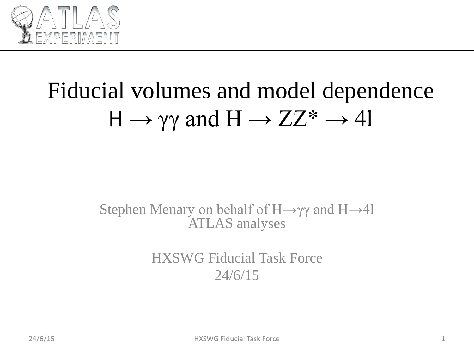

# Fiducial volumes and model dependence  $H \rightarrow \gamma \gamma$  and  $H \rightarrow ZZ^* \rightarrow 4l$

#### Stephen Menary on behalf of  $H\rightarrow\gamma\gamma$  and  $H\rightarrow 41$ ATLAS analyses

HXSWG Fiducial Task Force 24/6/15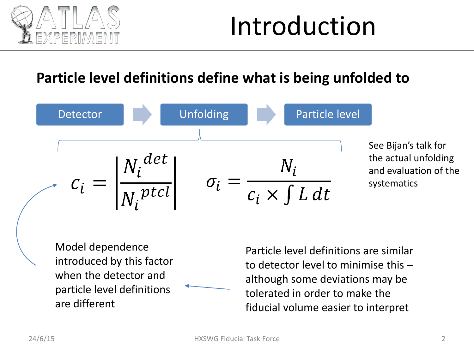

# Introduction

#### **Particle level definitions define what is being unfolded to**



Model dependence introduced by this factor when the detector and particle level definitions are different

Particle level definitions are similar to detector level to minimise this – although some deviations may be tolerated in order to make the fiducial volume easier to interpret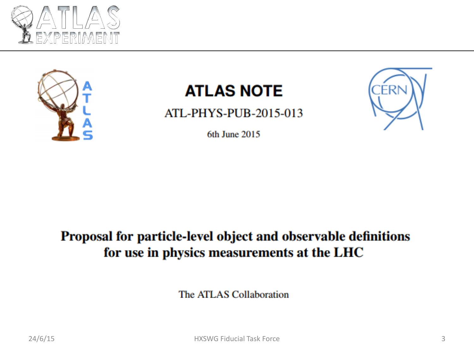



### **ATLAS NOTE**

ATL-PHYS-PUB-2015-013



6th June 2015

#### Proposal for particle-level object and observable definitions for use in physics measurements at the LHC

The ATLAS Collaboration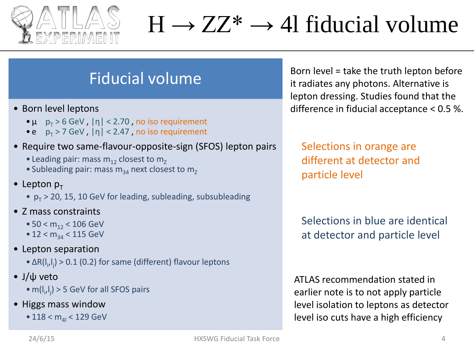

## $H \rightarrow ZZ^* \rightarrow 41$  fiducial volume

#### Fiducial volume

- Born level leptons
	- $\bullet \mu \quad p_{\tau} > 6$  GeV,  $|\eta| < 2.70$ , no iso requirement
	- e  $p_T > 7$  GeV,  $|\eta| < 2.47$ , no iso requirement
- Require two same-flavour-opposite-sign (SFOS) lepton pairs
	- Leading pair: mass  $m_{12}$  closest to  $m_{7}$
	- Subleading pair: mass  $m_{34}$  next closest to  $m_{7}$
- Lepton  $p_{\tau}$ 
	- $p_T > 20$ , 15, 10 GeV for leading, subleading, subsubleading
- Z mass constraints
	- 50 <  $m_{12}$  < 106 GeV
	- $12 < m_{34} < 115$  GeV
- Lepton separation
	- $\Delta R(I_i,I_j)$  > 0.1 (0.2) for same (different) flavour leptons
- J/ψ veto
	- $m(I_i,I_j)$  > 5 GeV for all SFOS pairs
- Higgs mass window
	- 118 <  $m_{41}$  < 129 GeV

Born level = take the truth lepton before it radiates any photons. Alternative is lepton dressing. Studies found that the difference in fiducial acceptance < 0.5 %.

Selections in orange are different at detector and particle level

Selections in blue are identical at detector and particle level

ATLAS recommendation stated in earlier note is to not apply particle level isolation to leptons as detector level iso cuts have a high efficiency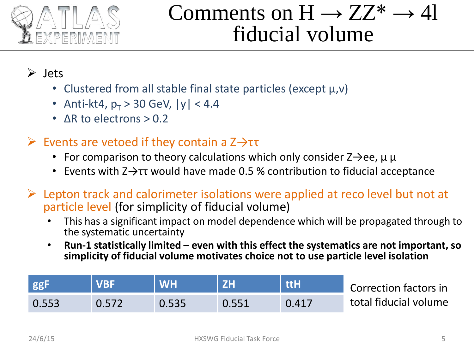

## Comments on  $H \rightarrow ZZ^* \rightarrow 4l$ fiducial volume

#### $\triangleright$  Jets

- Clustered from all stable final state particles (except μ,ν)
- Anti-kt4,  $p_T > 30$  GeV,  $|y| < 4.4$
- ΔR to electrons > 0.2

#### Events are vetoed if they contain a  $Z \rightarrow \tau\tau$

- For comparison to theory calculations which only consider  $Z\rightarrow$ ee,  $\mu \mu$
- Events with  $Z \rightarrow \tau\tau$  would have made 0.5 % contribution to fiducial acceptance
- $\triangleright$  Lepton track and calorimeter isolations were applied at reco level but not at particle level (for simplicity of fiducial volume)
	- This has a significant impact on model dependence which will be propagated through to the systematic uncertainty
	- **Run-1 statistically limited – even with this effect the systematics are not important, so simplicity of fiducial volume motivates choice not to use particle level isolation**

|       |       | <b>WH</b> |       | ttH   | Correction factors in |
|-------|-------|-----------|-------|-------|-----------------------|
| 0.553 | 0.572 |           | 0.551 | 0.417 | total fiducial volume |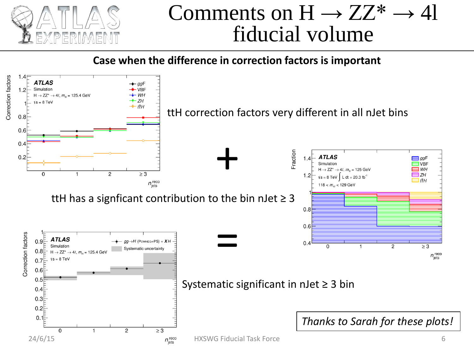

### Comments on  $H \rightarrow ZZ^* \rightarrow 4l$ fiducial volume

**Case when the difference in correction factors is important**

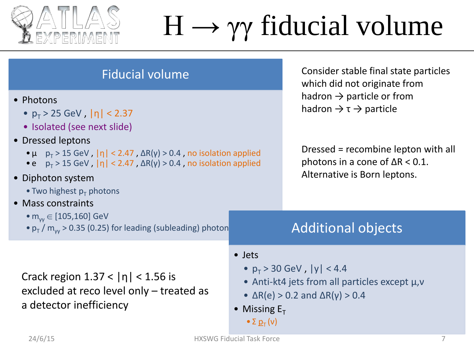

# $H \rightarrow \gamma \gamma$  fiducial volume

| <b>Fiducial volume</b>                                                                                                                                                                                                                                                                                                                                             | Consider stable final state particles<br>which did not originate from<br>hadron $\rightarrow$ particle or from<br>hadron $\rightarrow \tau \rightarrow$ particle<br>Dressed = recombine lepton with all<br>photons in a cone of $\Delta R < 0.1$ .<br>Alternative is Born leptons. |                                                                                                                                                |  |
|--------------------------------------------------------------------------------------------------------------------------------------------------------------------------------------------------------------------------------------------------------------------------------------------------------------------------------------------------------------------|------------------------------------------------------------------------------------------------------------------------------------------------------------------------------------------------------------------------------------------------------------------------------------|------------------------------------------------------------------------------------------------------------------------------------------------|--|
| • Photons<br>• $p_T > 25$ GeV, $ \eta  < 2.37$<br>• Isolated (see next slide)<br>• Dressed leptons<br>• $\mu$ $p_T > 15$ GeV, $ \eta  < 2.47$ , $\Delta R(\gamma) > 0.4$ , no isolation applied<br>• e $p_T > 15$ GeV, $ \eta  < 2.47$ , $\Delta R(\gamma) > 0.4$ , no isolation applied<br>• Diphoton system<br>• Two highest $p_T$ photons<br>• Mass constraints |                                                                                                                                                                                                                                                                                    |                                                                                                                                                |  |
| • $m_{vv} \in [105, 160]$ GeV<br>$\cdot p_{\rm T}$ / m <sub>w</sub> > 0.35 (0.25) for leading (subleading) photon                                                                                                                                                                                                                                                  |                                                                                                                                                                                                                                                                                    | <b>Additional objects</b>                                                                                                                      |  |
| Crack region $1.37 <  n  < 1.56$ is<br>excluded at reco level only – treated as<br>a detector inefficiency                                                                                                                                                                                                                                                         | • Jets<br>• Missing $E_T$<br>$\bullet$ $\Sigma$ $p_T(v)$                                                                                                                                                                                                                           | • $p_T > 30$ GeV, $ y  < 4.4$<br>• Anti-kt4 jets from all particles except $\mu$ , $\nu$<br>• $\Delta R(e) > 0.2$ and $\Delta R(\gamma) > 0.4$ |  |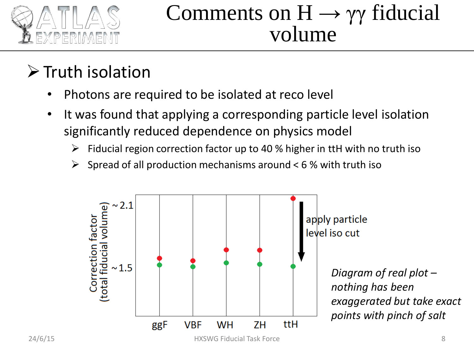

### Comments on  $H \rightarrow \gamma \gamma$  fiducial volume

### $\triangleright$  Truth isolation

- Photons are required to be isolated at reco level
- It was found that applying a corresponding particle level isolation significantly reduced dependence on physics model
	- $\triangleright$  Fiducial region correction factor up to 40 % higher in ttH with no truth iso
	- $\triangleright$  Spread of all production mechanisms around < 6 % with truth iso

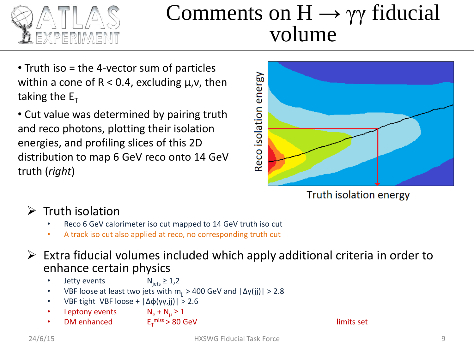

### Comments on  $H \rightarrow \gamma \gamma$  fiducial volume

- Truth iso = the 4-vector sum of particles within a cone of  $R < 0.4$ , excluding  $\mu$ ,  $\nu$ , then taking the  $E_T$
- Cut value was determined by pairing truth and reco photons, plotting their isolation energies, and profiling slices of this 2D distribution to map 6 GeV reco onto 14 GeV truth (*right*)



Truth isolation energy

- $\triangleright$  Truth isolation
	- Reco 6 GeV calorimeter iso cut mapped to 14 GeV truth iso cut
	- A track iso cut also applied at reco, no corresponding truth cut
- $\triangleright$  Extra fiducial volumes included which apply additional criteria in order to enhance certain physics
	- **Jetty events**  $N_{\text{jets}} \ge 1.2$
	- VBF loose at least two jets with  $m_{ii} > 400$  GeV and  $|\Delta y(jj)| > 2.8$
	- VBF tight VBF loose +  $\left| \Delta \phi(\gamma y, jj) \right|$  > 2.6
	- Leptony events  $N_e + N_u \ge 1$
	- DM enhanced  $E_{\tau}^{miss} > 80$  GeV limits set